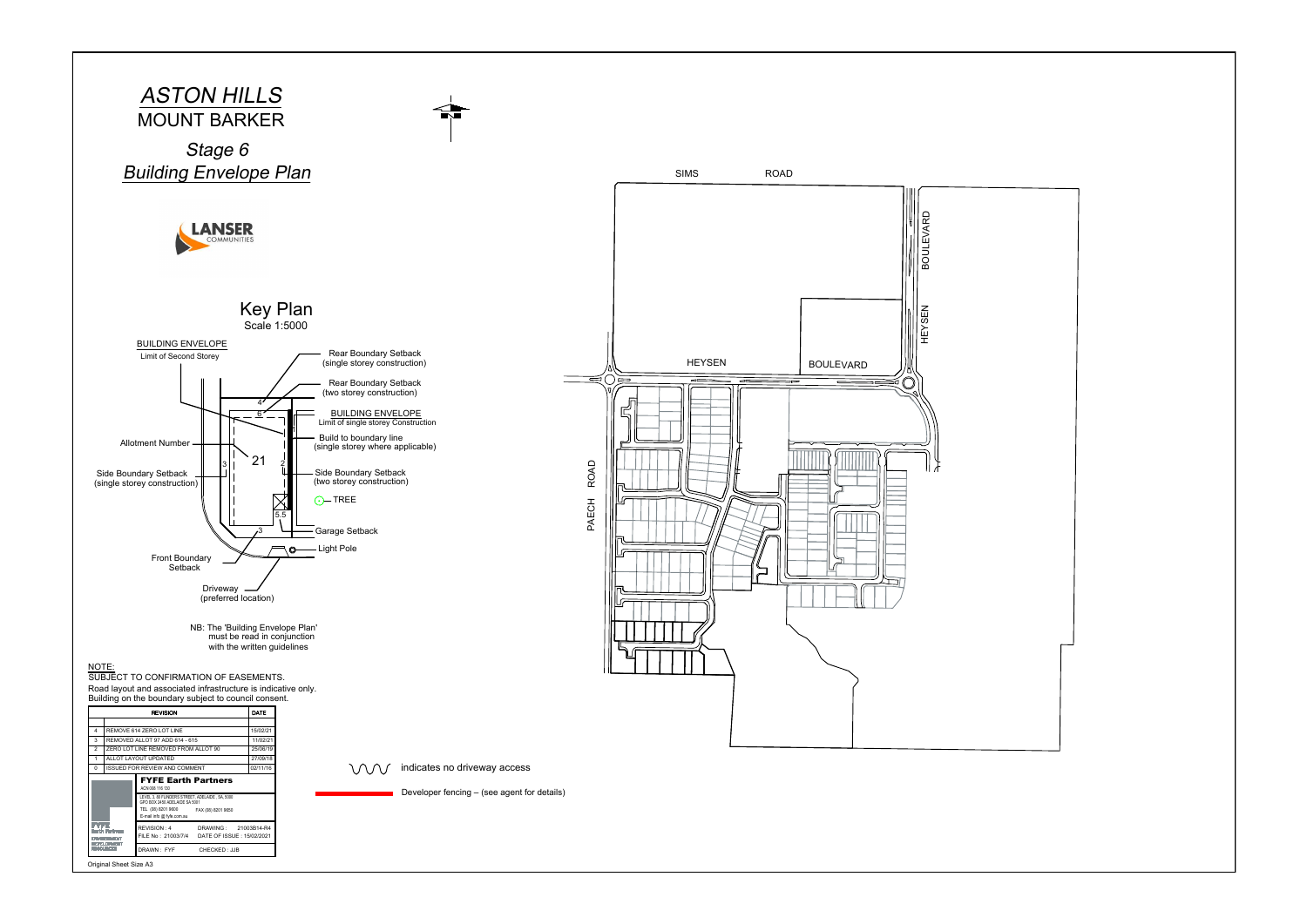